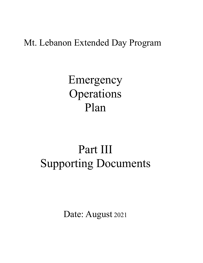## Mt. Lebanon Extended Day Program

Emergency Operations Plan

# Part III Supporting Documents

Date: August 2021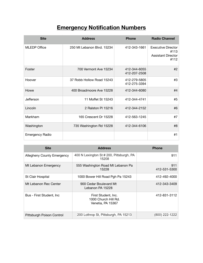## **Emergency Notification Numbers**

| <b>Site</b>            | <b>Address</b>             | <b>Phone</b>                 | <b>Radio Channel</b>                                                   |
|------------------------|----------------------------|------------------------------|------------------------------------------------------------------------|
| <b>MLEDP Office</b>    | 250 Mt Lebanon Blvd. 15234 | 412-343-1661                 | <b>Executive Director</b><br>#113<br><b>Assistant Director</b><br>#112 |
| Foster                 | 700 Vermont Ave 15234      | 412-344-6055<br>412-207-2508 | #2                                                                     |
| Hoover                 | 37 Robb Hollow Road 15243  | 412-279-5805<br>412-275-3394 | #3                                                                     |
| Howe                   | 400 Broadmoore Ave 15228   | 412-344-6080                 | #4                                                                     |
| Jefferson              | 11 Moffet St 15243         | 412-344-4741                 | #5                                                                     |
| Lincoln                | 2 Ralston PI 15216         | 412-344-2152                 | #6                                                                     |
| Markham                | 165 Crescent Dr 15228      | 412-563-1245                 | #7                                                                     |
| Washington             | 735 Washington Rd 15228    | 412-344-6106                 | #8                                                                     |
| <b>Emergency Radio</b> |                            |                              | #1                                                                     |

| <b>Site</b>                       | <b>Address</b>                                                   | <b>Phone</b>        |
|-----------------------------------|------------------------------------------------------------------|---------------------|
| <b>Allegheny County Emergency</b> | 400 N Lexington St # 200, Pittsburgh, PA<br>15208                | 911                 |
| Mt Lebanon Emergency              | 555 Washington Road Mt Lebanon Pa<br>15228                       | 911<br>412-531-5300 |
| St Clair Hospital                 | 1000 Bower Hill Road Pgh Pa 15243                                | 412-492-4000        |
| Mt Lebanon Rec Center             | 900 Cedar Boulevard Mt<br>Lebanon PA 15228                       | 412-343-3409        |
| Bus - First Student, Inc.         | First Student, Inc.<br>1000 Church Hill Rd.<br>Venetia, PA 15367 | 412-831-3112        |
| Pittsburgh Poison Control         | 200 Lothrop St, Pittsburgh, PA 15213                             | (800) 222-1222      |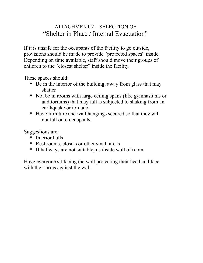## ATTACHMENT 2 – SELECTION OF "Shelter in Place / Internal Evacuation"

If it is unsafe for the occupants of the facility to go outside, provisions should be made to provide "protected spaces" inside. Depending on time available, staff should move their groups of children to the "closest shelter" inside the facility.

These spaces should:

- Be in the interior of the building, away from glass that may shatter
- Not be in rooms with large ceiling spans (like gymnasiums or auditoriums) that may fall is subjected to shaking from an earthquake or tornado.
- Have furniture and wall hangings secured so that they will not fall onto occupants.

Suggestions are:

- Interior halls
- Rest rooms, closets or other small areas
- If hallways are not suitable, us inside wall of room

Have everyone sit facing the wall protecting their head and face with their arms against the wall.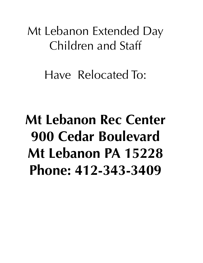Mt Lebanon Extended Day Children and Staff

Have Relocated To:

**Mt Lebanon Rec Center 900 Cedar Boulevard Mt Lebanon PA 15228 Phone: 412-343-3409**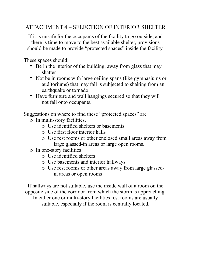## ATTACHMENT 4 – SELECTION OF INTERIOR SHELTER

If it is unsafe for the occupants of the facility to go outside, and there is time to move to the best available shelter, provisions should be made to provide "protected spaces" inside the facility.

These spaces should:

- Be in the interior of the building, away from glass that may shatter
- Not be in rooms with large ceiling spans (like gymnasiums or auditoriums) that may fall is subjected to shaking from an earthquake or tornado.
- Have furniture and wall hangings secured so that they will not fall onto occupants.

Suggestions on where to find these "protected spaces" are

- o In multi-story facilities.
	- o Use identified shelters or basements
	- o Use first floor interior halls
	- o Use rest rooms or other enclosed small areas away from large glassed-in areas or large open rooms.
- o In one-story facilities
	- o Use identified shelters
	- o Use basements and interior hallways
	- o Use rest rooms or other areas away from large glassedin areas or open rooms

If hallways are not suitable, use the inside wall of a room on the opposite side of the corridor from which the storm is approaching. In either one or multi-story facilities rest rooms are usually suitable, especially if the room is centrally located.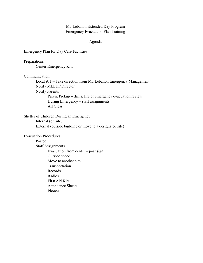#### Mt. Lebanon Extended Day Program Emergency Evacuation Plan Training

#### Agenda

Emergency Plan for Day Care Facilities

Preparations Center Emergency Kits

Communication

 Local 911 – Take direction from Mt. Lebanon Emergency Management Notify MLEDP Director Notify Parents Parent Pickup – drills, fire or emergency evacuation review During Emergency – staff assignments All Clear

Shelter of Children During an Emergency Internal (on site) External (outside building or move to a designated site)

Evacuation Procedures

Posted

 Staff Assignments Evacuation from center – post sign Outside space Move to another site Transportation Records Radios First Aid Kits Attendance Sheets Phones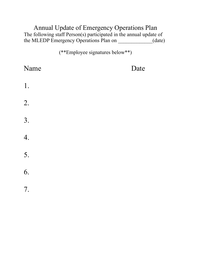## Annual Update of Emergency Operations Plan The following staff Person(s) participated in the annual update of the MLEDP Emergency Operations Plan on \_\_\_\_\_\_\_\_\_\_\_\_\_(date)

(\*\*Employee signatures below\*\*)

| Name | Date |
|------|------|
| $1.$ |      |
| 2.   |      |
| 3.   |      |
| 4.   |      |
| 5.   |      |
| 6.   |      |
| 7.   |      |